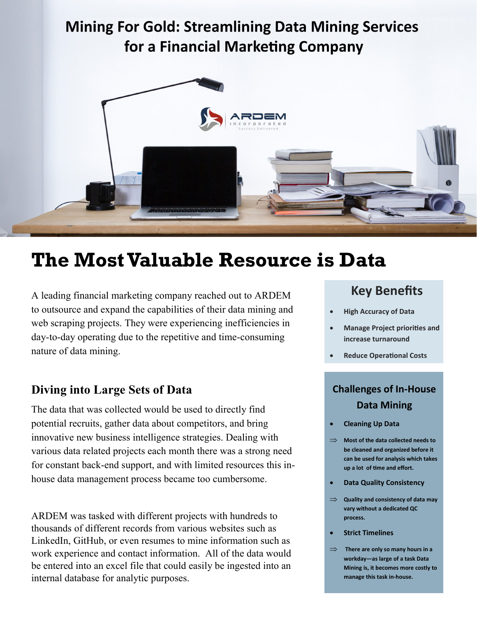## **Mining For Gold: Streamlining Data Mining Services** for a Financial Marketing Company



# **The Most Valuable Resource is Data**

A leading financial marketing company reached out to ARDEM to outsource and expand the capabilities of their data mining and web scraping projects. They were experiencing inefficiencies in day-to-day operating due to the repetitive and time-consuming nature of data mining.

#### **Diving into Large Sets of Data**

The data that was collected would be used to directly find potential recruits, gather data about competitors, and bring innovative new business intelligence strategies. Dealing with various data related projects each month there was a strong need for constant back-end support, and with limited resources this inhouse data management process became too cumbersome.

ARDEM was tasked with different projects with hundreds to thousands of different records from various websites such as LinkedIn, GitHub, or even resumes to mine information such as work experience and contact information. All of the data would be entered into an excel file that could easily be ingested into an internal database for analytic purposes.

## **Key Benefits Key Benefits**

- **Looking to Manage High Volumes High Accuracy of Data**
- **Automate? Ask Increase Accuracy Manage Project priorities and increase turnaround**
- Are you still using • **Reduce Operational Costs**

valuable human

#### **Challenges of In-House**  $\frac{1}{2}$  from one one one one one of  $\frac{1}{2}$ **Data Mining**

- **•** Cleaning Up Data
- $\Rightarrow$  Most of the data collected needs to people to check **can be used for analysis which takes**  up a lot of time and effort. **be cleaned and organized before it**
- Data Quality Consistency **• Data Quality Consistency**
- $\Rightarrow$  Quality and consistency of data may  $\mathbf{r}$  are you still using  $\mathbf{r}$ **vary without a dedicated QC process.**
- **Strict Timelines**
- $\Rightarrow$  There are only so many hours in a workday—as large of a task Data **Mining is, it becomes more costly to manage this task in-house.**